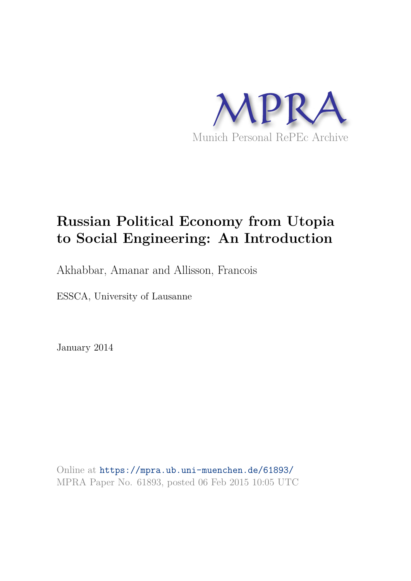

# **Russian Political Economy from Utopia to Social Engineering: An Introduction**

Akhabbar, Amanar and Allisson, Francois

ESSCA, University of Lausanne

January 2014

Online at https://mpra.ub.uni-muenchen.de/61893/ MPRA Paper No. 61893, posted 06 Feb 2015 10:05 UTC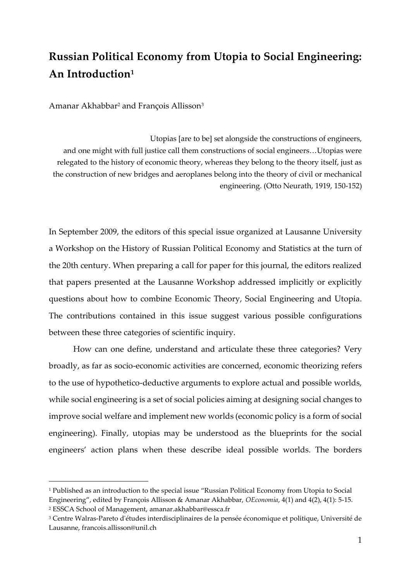## **Russian Political Economy from Utopia to Social Engineering: An Introduction<sup>1</sup>**

Amanar Akhabbar<sup>2</sup> and François Allisson<sup>3</sup>

-

Utopias [are to be] set alongside the constructions of engineers, and one might with full justice call them constructions of social engineers…Utopias were relegated to the history of economic theory, whereas they belong to the theory itself, just as the construction of new bridges and aeroplanes belong into the theory of civil or mechanical engineering. (Otto Neurath, 1919, 150-152)

In September 2009, the editors of this special issue organized at Lausanne University a Workshop on the History of Russian Political Economy and Statistics at the turn of the 20th century. When preparing a call for paper for this journal, the editors realized that papers presented at the Lausanne Workshop addressed implicitly or explicitly questions about how to combine Economic Theory, Social Engineering and Utopia. The contributions contained in this issue suggest various possible configurations between these three categories of scientific inquiry.

How can one define, understand and articulate these three categories? Very broadly, as far as socio-economic activities are concerned, economic theorizing refers to the use of hypothetico-deductive arguments to explore actual and possible worlds, while social engineering is a set of social policies aiming at designing social changes to improve social welfare and implement new worlds (economic policy is a form of social engineering). Finally, utopias may be understood as the blueprints for the social engineers' action plans when these describe ideal possible worlds. The borders

<sup>1</sup> Published as an introduction to the special issue "Russian Political Economy from Utopia to Social Engineering", edited by François Allisson & Amanar Akhabbar, *OEconomia*, 4(1) and 4(2), 4(1): 5-15. 2 ESSCA School of Management, amanar.akhabbar@essca.fr

<sup>3</sup> Centre Walras-Pareto d'études interdisciplinaires de la pensée économique et politique, Université de Lausanne, francois.allisson@unil.ch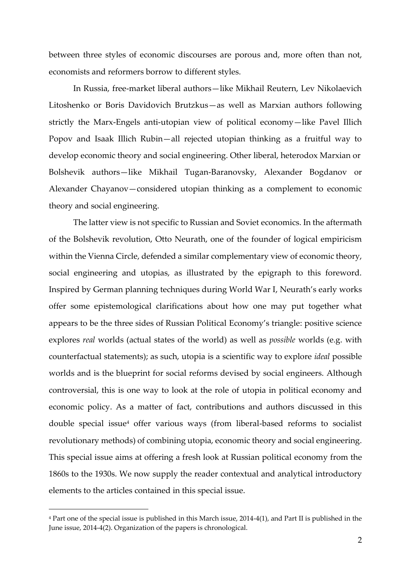between three styles of economic discourses are porous and, more often than not, economists and reformers borrow to different styles.

In Russia, free-market liberal authors—like Mikhail Reutern, Lev Nikolaevich Litoshenko or Boris Davidovich Brutzkus—as well as Marxian authors following strictly the Marx-Engels anti-utopian view of political economy—like Pavel Illich Popov and Isaak Illich Rubin—all rejected utopian thinking as a fruitful way to develop economic theory and social engineering. Other liberal, heterodox Marxian or Bolshevik authors—like Mikhail Tugan-Baranovsky, Alexander Bogdanov or Alexander Chayanov—considered utopian thinking as a complement to economic theory and social engineering.

The latter view is not specific to Russian and Soviet economics. In the aftermath of the Bolshevik revolution, Otto Neurath, one of the founder of logical empiricism within the Vienna Circle, defended a similar complementary view of economic theory, social engineering and utopias, as illustrated by the epigraph to this foreword. Inspired by German planning techniques during World War I, Neurath's early works offer some epistemological clarifications about how one may put together what appears to be the three sides of Russian Political Economy's triangle: positive science explores *real* worlds (actual states of the world) as well as *possible* worlds (e.g. with counterfactual statements); as such, utopia is a scientific way to explore *ideal* possible worlds and is the blueprint for social reforms devised by social engineers. Although controversial, this is one way to look at the role of utopia in political economy and economic policy. As a matter of fact, contributions and authors discussed in this double special issue<sup>4</sup> offer various ways (from liberal-based reforms to socialist revolutionary methods) of combining utopia, economic theory and social engineering. This special issue aims at offering a fresh look at Russian political economy from the 1860s to the 1930s. We now supply the reader contextual and analytical introductory elements to the articles contained in this special issue.

<sup>4</sup> Part one of the special issue is published in this March issue, 2014-4(1), and Part II is published in the June issue, 2014-4(2). Organization of the papers is chronological.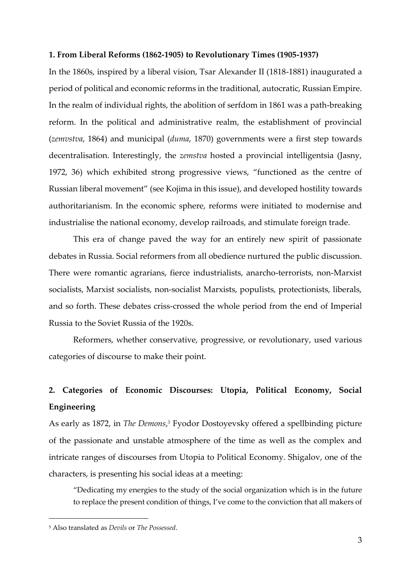#### **1. From Liberal Reforms (1862-1905) to Revolutionary Times (1905-1937)**

In the 1860s, inspired by a liberal vision, Tsar Alexander II (1818-1881) inaugurated a period of political and economic reforms in the traditional, autocratic, Russian Empire. In the realm of individual rights, the abolition of serfdom in 1861 was a path-breaking reform. In the political and administrative realm, the establishment of provincial (*zemvstva*, 1864) and municipal (*duma*, 1870) governments were a first step towards decentralisation. Interestingly, the *zemstva* hosted a provincial intelligentsia (Jasny, 1972, 36) which exhibited strong progressive views, "functioned as the centre of Russian liberal movement" (see Kojima in this issue), and developed hostility towards authoritarianism. In the economic sphere, reforms were initiated to modernise and industrialise the national economy, develop railroads, and stimulate foreign trade.

This era of change paved the way for an entirely new spirit of passionate debates in Russia. Social reformers from all obedience nurtured the public discussion. There were romantic agrarians, fierce industrialists, anarcho-terrorists, non-Marxist socialists, Marxist socialists, non-socialist Marxists, populists, protectionists, liberals, and so forth. These debates criss-crossed the whole period from the end of Imperial Russia to the Soviet Russia of the 1920s.

Reformers, whether conservative, progressive, or revolutionary, used various categories of discourse to make their point.

### **2. Categories of Economic Discourses: Utopia, Political Economy, Social Engineering**

As early as 1872, in *The Demons*,<sup>5</sup> Fyodor Dostoyevsky offered a spellbinding picture of the passionate and unstable atmosphere of the time as well as the complex and intricate ranges of discourses from Utopia to Political Economy. Shigalov, one of the characters, is presenting his social ideas at a meeting:

"Dedicating my energies to the study of the social organization which is in the future to replace the present condition of things, I've come to the conviction that all makers of

<sup>5</sup> Also translated as *Devils* or *The Possessed*.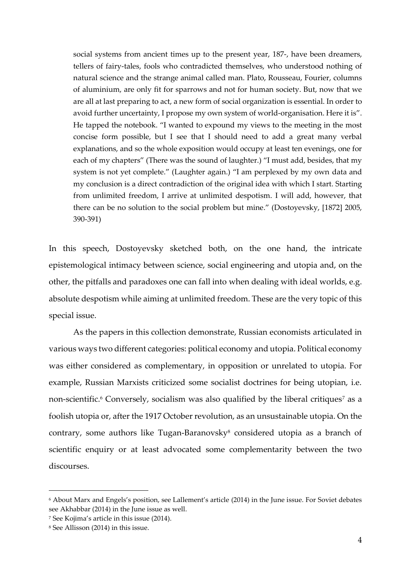social systems from ancient times up to the present year, 187-, have been dreamers, tellers of fairy-tales, fools who contradicted themselves, who understood nothing of natural science and the strange animal called man. Plato, Rousseau, Fourier, columns of aluminium, are only fit for sparrows and not for human society. But, now that we are all at last preparing to act, a new form of social organization is essential. In order to avoid further uncertainty, I propose my own system of world-organisation. Here it is". He tapped the notebook. "I wanted to expound my views to the meeting in the most concise form possible, but I see that I should need to add a great many verbal explanations, and so the whole exposition would occupy at least ten evenings, one for each of my chapters" (There was the sound of laughter.) "I must add, besides, that my system is not yet complete." (Laughter again.) "I am perplexed by my own data and my conclusion is a direct contradiction of the original idea with which I start. Starting from unlimited freedom, I arrive at unlimited despotism. I will add, however, that there can be no solution to the social problem but mine." (Dostoyevsky, [1872] 2005, 390-391)

In this speech, Dostoyevsky sketched both, on the one hand, the intricate epistemological intimacy between science, social engineering and utopia and, on the other, the pitfalls and paradoxes one can fall into when dealing with ideal worlds, e.g. absolute despotism while aiming at unlimited freedom. These are the very topic of this special issue.

As the papers in this collection demonstrate, Russian economists articulated in various ways two different categories: political economy and utopia. Political economy was either considered as complementary, in opposition or unrelated to utopia. For example, Russian Marxists criticized some socialist doctrines for being utopian, i.e. non-scientific. $^6$  Conversely, socialism was also qualified by the liberal critiques $^7$  as a foolish utopia or, after the 1917 October revolution, as an unsustainable utopia. On the contrary, some authors like Tugan-Baranovsky<sup>8</sup> considered utopia as a branch of scientific enquiry or at least advocated some complementarity between the two discourses.

<sup>6</sup> About Marx and Engels's position, see Lallement's article (2014) in the June issue. For Soviet debates see Akhabbar (2014) in the June issue as well.

<sup>7</sup> See Kojima's article in this issue (2014).

<sup>8</sup> See Allisson (2014) in this issue.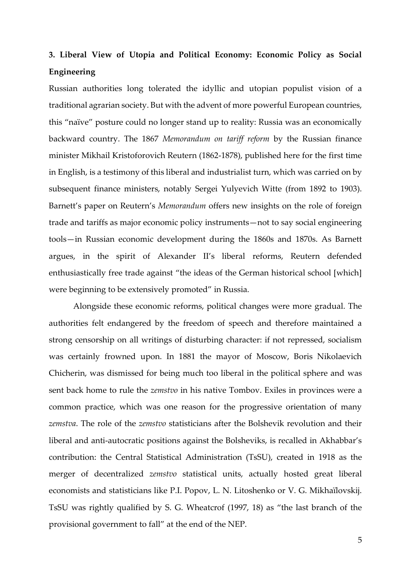### **3. Liberal View of Utopia and Political Economy: Economic Policy as Social Engineering**

Russian authorities long tolerated the idyllic and utopian populist vision of a traditional agrarian society. But with the advent of more powerful European countries, this "naïve" posture could no longer stand up to reality: Russia was an economically backward country. The 1867 *Memorandum on tariff reform* by the Russian finance minister Mikhail Kristoforovich Reutern (1862-1878), published here for the first time in English, is a testimony of this liberal and industrialist turn, which was carried on by subsequent finance ministers, notably Sergei Yulyevich Witte (from 1892 to 1903). Barnett's paper on Reutern's *Memorandum* offers new insights on the role of foreign trade and tariffs as major economic policy instruments—not to say social engineering tools—in Russian economic development during the 1860s and 1870s. As Barnett argues, in the spirit of Alexander II's liberal reforms, Reutern defended enthusiastically free trade against "the ideas of the German historical school [which] were beginning to be extensively promoted" in Russia.

Alongside these economic reforms, political changes were more gradual. The authorities felt endangered by the freedom of speech and therefore maintained a strong censorship on all writings of disturbing character: if not repressed, socialism was certainly frowned upon. In 1881 the mayor of Moscow, Boris Nikolaevich Chicherin, was dismissed for being much too liberal in the political sphere and was sent back home to rule the *zemstvo* in his native Tombov. Exiles in provinces were a common practice, which was one reason for the progressive orientation of many *zemstva*. The role of the *zemstvo* statisticians after the Bolshevik revolution and their liberal and anti-autocratic positions against the Bolsheviks, is recalled in Akhabbar's contribution: the Central Statistical Administration (TsSU), created in 1918 as the merger of decentralized *zemstvo* statistical units, actually hosted great liberal economists and statisticians like P.I. Popov, L. N. Litoshenko or V. G. Mikhaïlovskij. TsSU was rightly qualified by S. G. Wheatcrof (1997, 18) as "the last branch of the provisional government to fall" at the end of the NEP.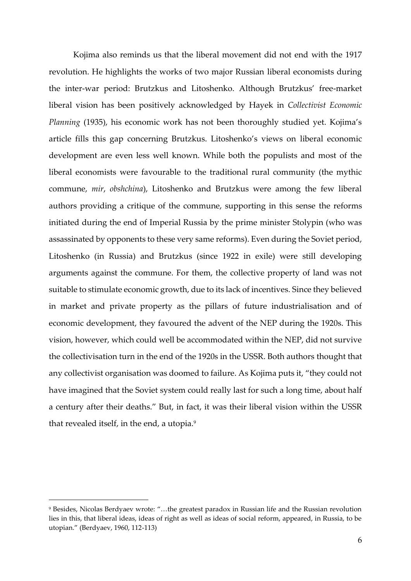Kojima also reminds us that the liberal movement did not end with the 1917 revolution. He highlights the works of two major Russian liberal economists during the inter-war period: Brutzkus and Litoshenko. Although Brutzkus' free-market liberal vision has been positively acknowledged by Hayek in *Collectivist Economic Planning* (1935), his economic work has not been thoroughly studied yet. Kojima's article fills this gap concerning Brutzkus. Litoshenko's views on liberal economic development are even less well known. While both the populists and most of the liberal economists were favourable to the traditional rural community (the mythic commune, *mir*, *obshchina*), Litoshenko and Brutzkus were among the few liberal authors providing a critique of the commune, supporting in this sense the reforms initiated during the end of Imperial Russia by the prime minister Stolypin (who was assassinated by opponents to these very same reforms). Even during the Soviet period, Litoshenko (in Russia) and Brutzkus (since 1922 in exile) were still developing arguments against the commune. For them, the collective property of land was not suitable to stimulate economic growth, due to its lack of incentives. Since they believed in market and private property as the pillars of future industrialisation and of economic development, they favoured the advent of the NEP during the 1920s. This vision, however, which could well be accommodated within the NEP, did not survive the collectivisation turn in the end of the 1920s in the USSR. Both authors thought that any collectivist organisation was doomed to failure. As Kojima puts it, "they could not have imagined that the Soviet system could really last for such a long time, about half a century after their deaths." But, in fact, it was their liberal vision within the USSR that revealed itself, in the end, a utopia.<sup>9</sup>

<sup>9</sup> Besides, Nicolas Berdyaev wrote: "…the greatest paradox in Russian life and the Russian revolution lies in this, that liberal ideas, ideas of right as well as ideas of social reform, appeared, in Russia, to be utopian." (Berdyaev, 1960, 112-113)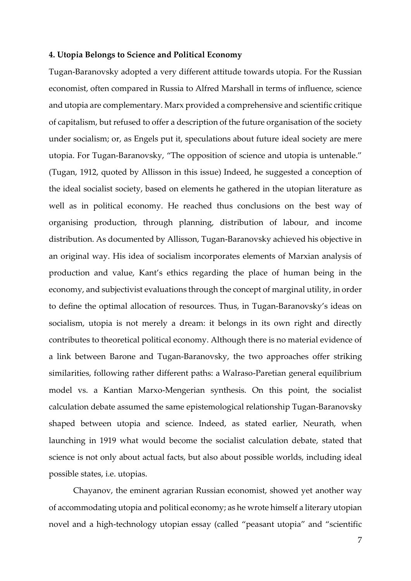### **4. Utopia Belongs to Science and Political Economy**

Tugan-Baranovsky adopted a very different attitude towards utopia. For the Russian economist, often compared in Russia to Alfred Marshall in terms of influence, science and utopia are complementary. Marx provided a comprehensive and scientific critique of capitalism, but refused to offer a description of the future organisation of the society under socialism; or, as Engels put it, speculations about future ideal society are mere utopia. For Tugan-Baranovsky, "The opposition of science and utopia is untenable." (Tugan, 1912, quoted by Allisson in this issue) Indeed, he suggested a conception of the ideal socialist society, based on elements he gathered in the utopian literature as well as in political economy. He reached thus conclusions on the best way of organising production, through planning, distribution of labour, and income distribution. As documented by Allisson, Tugan-Baranovsky achieved his objective in an original way. His idea of socialism incorporates elements of Marxian analysis of production and value, Kant's ethics regarding the place of human being in the economy, and subjectivist evaluations through the concept of marginal utility, in order to define the optimal allocation of resources. Thus, in Tugan-Baranovsky's ideas on socialism, utopia is not merely a dream: it belongs in its own right and directly contributes to theoretical political economy. Although there is no material evidence of a link between Barone and Tugan-Baranovsky, the two approaches offer striking similarities, following rather different paths: a Walraso-Paretian general equilibrium model vs. a Kantian Marxo-Mengerian synthesis. On this point, the socialist calculation debate assumed the same epistemological relationship Tugan-Baranovsky shaped between utopia and science. Indeed, as stated earlier, Neurath, when launching in 1919 what would become the socialist calculation debate, stated that science is not only about actual facts, but also about possible worlds, including ideal possible states, i.e. utopias.

Chayanov, the eminent agrarian Russian economist, showed yet another way of accommodating utopia and political economy; as he wrote himself a literary utopian novel and a high-technology utopian essay (called "peasant utopia" and "scientific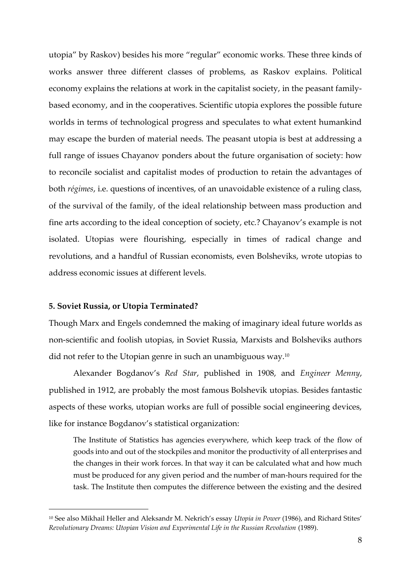utopia" by Raskov) besides his more "regular" economic works. These three kinds of works answer three different classes of problems, as Raskov explains. Political economy explains the relations at work in the capitalist society, in the peasant familybased economy, and in the cooperatives. Scientific utopia explores the possible future worlds in terms of technological progress and speculates to what extent humankind may escape the burden of material needs. The peasant utopia is best at addressing a full range of issues Chayanov ponders about the future organisation of society: how to reconcile socialist and capitalist modes of production to retain the advantages of both *régimes*, i.e. questions of incentives, of an unavoidable existence of a ruling class, of the survival of the family, of the ideal relationship between mass production and fine arts according to the ideal conception of society, etc.? Chayanov's example is not isolated. Utopias were flourishing, especially in times of radical change and revolutions, and a handful of Russian economists, even Bolsheviks, wrote utopias to address economic issues at different levels.

### **5. Soviet Russia, or Utopia Terminated?**

-

Though Marx and Engels condemned the making of imaginary ideal future worlds as non-scientific and foolish utopias, in Soviet Russia, Marxists and Bolsheviks authors did not refer to the Utopian genre in such an unambiguous way.<sup>10</sup>

Alexander Bogdanov's *Red Star*, published in 1908, and *Engineer Menny*, published in 1912, are probably the most famous Bolshevik utopias. Besides fantastic aspects of these works, utopian works are full of possible social engineering devices, like for instance Bogdanov's statistical organization:

The Institute of Statistics has agencies everywhere, which keep track of the flow of goods into and out of the stockpiles and monitor the productivity of all enterprises and the changes in their work forces. In that way it can be calculated what and how much must be produced for any given period and the number of man-hours required for the task. The Institute then computes the difference between the existing and the desired

<sup>10</sup> See also Mikhail Heller and Aleksandr M. Nekrich's essay *Utopia in Power* (1986), and Richard Stites' *Revolutionary Dreams: Utopian Vision and Experimental Life in the Russian Revolution* (1989).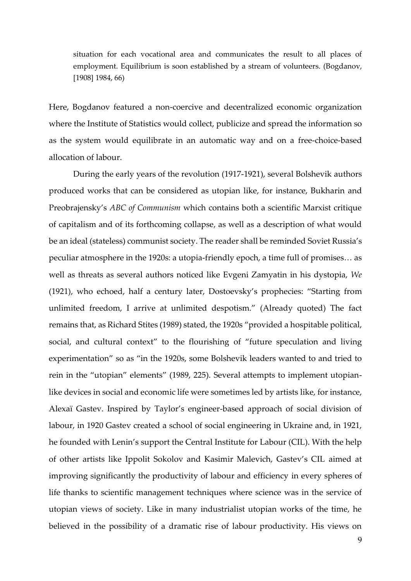situation for each vocational area and communicates the result to all places of employment. Equilibrium is soon established by a stream of volunteers. (Bogdanov, [1908] 1984, 66)

Here, Bogdanov featured a non-coercive and decentralized economic organization where the Institute of Statistics would collect, publicize and spread the information so as the system would equilibrate in an automatic way and on a free-choice-based allocation of labour.

During the early years of the revolution (1917-1921), several Bolshevik authors produced works that can be considered as utopian like, for instance, Bukharin and Preobrajensky's *ABC of Communism* which contains both a scientific Marxist critique of capitalism and of its forthcoming collapse, as well as a description of what would be an ideal (stateless) communist society. The reader shall be reminded Soviet Russia's peculiar atmosphere in the 1920s: a utopia-friendly epoch, a time full of promises… as well as threats as several authors noticed like Evgeni Zamyatin in his dystopia, *We*  (1921), who echoed, half a century later, Dostoevsky's prophecies: "Starting from unlimited freedom, I arrive at unlimited despotism." (Already quoted) The fact remains that, as Richard Stites (1989) stated, the 1920s "provided a hospitable political, social, and cultural context" to the flourishing of "future speculation and living experimentation" so as "in the 1920s, some Bolshevik leaders wanted to and tried to rein in the "utopian" elements" (1989, 225). Several attempts to implement utopianlike devices in social and economic life were sometimes led by artists like, for instance, Alexaï Gastev. Inspired by Taylor's engineer-based approach of social division of labour, in 1920 Gastev created a school of social engineering in Ukraine and, in 1921, he founded with Lenin's support the Central Institute for Labour (CIL). With the help of other artists like Ippolit Sokolov and Kasimir Malevich, Gastev's CIL aimed at improving significantly the productivity of labour and efficiency in every spheres of life thanks to scientific management techniques where science was in the service of utopian views of society. Like in many industrialist utopian works of the time, he believed in the possibility of a dramatic rise of labour productivity. His views on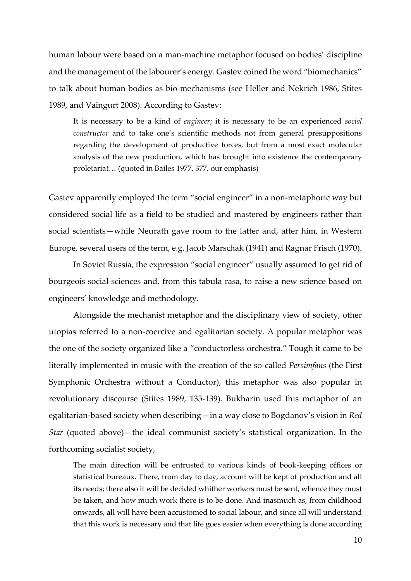human labour were based on a man-machine metaphor focused on bodies' discipline and the management of the labourer's energy. Gastev coined the word "biomechanics" to talk about human bodies as bio-mechanisms (see Heller and Nekrich 1986, Stites 1989, and Vaingurt 2008). According to Gastev:

It is necessary to be a kind of *engineer*; it is necessary to be an experienced *social constructor* and to take one's scientific methods not from general presuppositions regarding the development of productive forces, but from a most exact molecular analysis of the new production, which has brought into existence the contemporary proletariat… (quoted in Bailes 1977, 377, our emphasis)

Gastev apparently employed the term "social engineer" in a non-metaphoric way but considered social life as a field to be studied and mastered by engineers rather than social scientists—while Neurath gave room to the latter and, after him, in Western Europe, several users of the term, e.g. Jacob Marschak (1941) and Ragnar Frisch (1970).

In Soviet Russia, the expression "social engineer" usually assumed to get rid of bourgeois social sciences and, from this tabula rasa, to raise a new science based on engineers' knowledge and methodology.

Alongside the mechanist metaphor and the disciplinary view of society, other utopias referred to a non-coercive and egalitarian society. A popular metaphor was the one of the society organized like a "conductorless orchestra." Tough it came to be literally implemented in music with the creation of the so-called *Persimfans* (the First Symphonic Orchestra without a Conductor), this metaphor was also popular in revolutionary discourse (Stites 1989, 135-139). Bukharin used this metaphor of an egalitarian-based society when describing—in a way close to Bogdanov's vision in *Red Star* (quoted above)—the ideal communist society's statistical organization. In the forthcoming socialist society,

The main direction will be entrusted to various kinds of book-keeping offices or statistical bureaux. There, from day to day, account will be kept of production and all its needs; there also it will be decided whither workers must be sent, whence they must be taken, and how much work there is to be done. And inasmuch as, from childhood onwards, all will have been accustomed to social labour, and since all will understand that this work is necessary and that life goes easier when everything is done according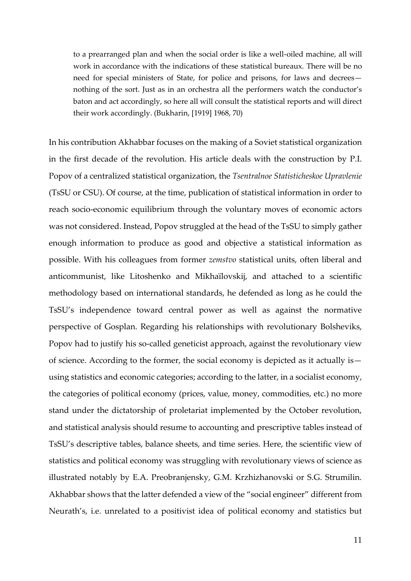to a prearranged plan and when the social order is like a well-oiled machine, all will work in accordance with the indications of these statistical bureaux. There will be no need for special ministers of State, for police and prisons, for laws and decrees nothing of the sort. Just as in an orchestra all the performers watch the conductor's baton and act accordingly, so here all will consult the statistical reports and will direct their work accordingly. (Bukharin, [1919] 1968, 70)

In his contribution Akhabbar focuses on the making of a Soviet statistical organization in the first decade of the revolution. His article deals with the construction by P.I. Popov of a centralized statistical organization, the *Tsentralnoe Statisticheskoe Upravlenie*  (TsSU or CSU). Of course, at the time, publication of statistical information in order to reach socio-economic equilibrium through the voluntary moves of economic actors was not considered. Instead, Popov struggled at the head of the TsSU to simply gather enough information to produce as good and objective a statistical information as possible. With his colleagues from former *zemstvo* statistical units, often liberal and anticommunist, like Litoshenko and Mikhaïlovskij, and attached to a scientific methodology based on international standards, he defended as long as he could the TsSU's independence toward central power as well as against the normative perspective of Gosplan. Regarding his relationships with revolutionary Bolsheviks, Popov had to justify his so-called geneticist approach, against the revolutionary view of science. According to the former, the social economy is depicted as it actually is using statistics and economic categories; according to the latter, in a socialist economy, the categories of political economy (prices, value, money, commodities, etc.) no more stand under the dictatorship of proletariat implemented by the October revolution, and statistical analysis should resume to accounting and prescriptive tables instead of TsSU's descriptive tables, balance sheets, and time series. Here, the scientific view of statistics and political economy was struggling with revolutionary views of science as illustrated notably by E.A. Preobranjensky, G.M. Krzhizhanovski or S.G. Strumilin. Akhabbar shows that the latter defended a view of the "social engineer" different from Neurath's, i.e. unrelated to a positivist idea of political economy and statistics but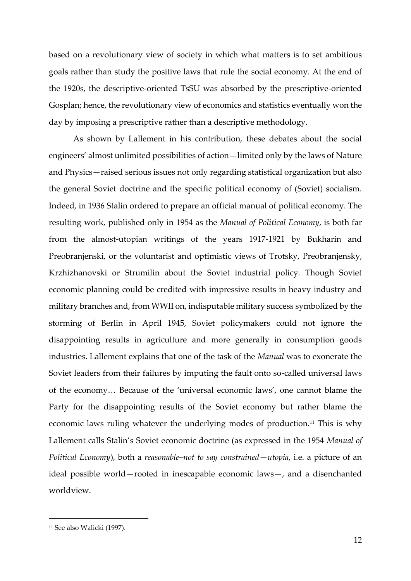based on a revolutionary view of society in which what matters is to set ambitious goals rather than study the positive laws that rule the social economy. At the end of the 1920s, the descriptive-oriented TsSU was absorbed by the prescriptive-oriented Gosplan; hence, the revolutionary view of economics and statistics eventually won the day by imposing a prescriptive rather than a descriptive methodology.

As shown by Lallement in his contribution, these debates about the social engineers' almost unlimited possibilities of action—limited only by the laws of Nature and Physics—raised serious issues not only regarding statistical organization but also the general Soviet doctrine and the specific political economy of (Soviet) socialism. Indeed, in 1936 Stalin ordered to prepare an official manual of political economy. The resulting work, published only in 1954 as the *Manual of Political Economy*, is both far from the almost-utopian writings of the years 1917-1921 by Bukharin and Preobranjenski, or the voluntarist and optimistic views of Trotsky, Preobranjensky, Krzhizhanovski or Strumilin about the Soviet industrial policy. Though Soviet economic planning could be credited with impressive results in heavy industry and military branches and, from WWII on, indisputable military success symbolized by the storming of Berlin in April 1945, Soviet policymakers could not ignore the disappointing results in agriculture and more generally in consumption goods industries. Lallement explains that one of the task of the *Manual* was to exonerate the Soviet leaders from their failures by imputing the fault onto so-called universal laws of the economy… Because of the 'universal economic laws', one cannot blame the Party for the disappointing results of the Soviet economy but rather blame the economic laws ruling whatever the underlying modes of production.<sup>11</sup> This is why Lallement calls Stalin's Soviet economic doctrine (as expressed in the 1954 *Manual of Political Economy*), both a *reasonable–not to say constrained—utopia*, i.e. a picture of an ideal possible world—rooted in inescapable economic laws—, and a disenchanted worldview.

<sup>11</sup> See also Walicki (1997).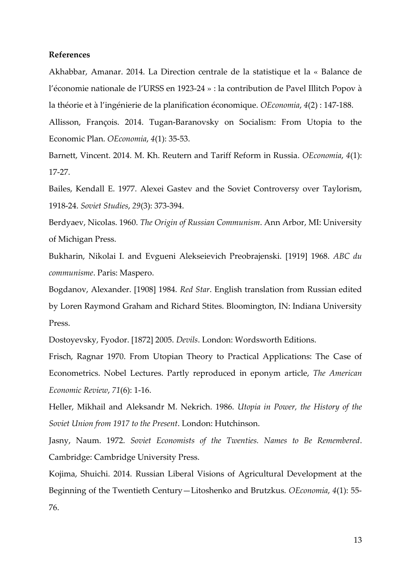### **References**

Akhabbar, Amanar. 2014. La Direction centrale de la statistique et la « Balance de l'économie nationale de l'URSS en 1923-24 » : la contribution de Pavel Illitch Popov à la théorie et à l'ingénierie de la planification économique. *OEconomia*, *4*(2) : 147-188.

Allisson, François. 2014. Tugan-Baranovsky on Socialism: From Utopia to the Economic Plan. *OEconomia*, *4*(1): 35-53.

Barnett, Vincent. 2014. M. Kh. Reutern and Tariff Reform in Russia. *OEconomia*, *4*(1): 17-27.

Bailes, Kendall E. 1977. Alexei Gastev and the Soviet Controversy over Taylorism, 1918-24. *Soviet Studies*, *29*(3): 373-394.

Berdyaev, Nicolas. 1960. *The Origin of Russian Communism*. Ann Arbor, MI: University of Michigan Press.

Bukharin, Nikolai I. and Evgueni Alekseievich Preobrajenski. [1919] 1968. *ABC du communisme*. Paris: Maspero.

Bogdanov, Alexander. [1908] 1984. *Red Star*. English translation from Russian edited by Loren Raymond Graham and Richard Stites. Bloomington, IN: Indiana University Press.

Dostoyevsky, Fyodor. [1872] 2005. *Devils*. London: Wordsworth Editions.

Frisch, Ragnar 1970. From Utopian Theory to Practical Applications: The Case of Econometrics. Nobel Lectures. Partly reproduced in eponym article, *The American Economic Review*, *71*(6): 1-16.

Heller, Mikhail and Aleksandr M. Nekrich. 1986. *Utopia in Power, the History of the Soviet Union from 1917 to the Present*. London: Hutchinson.

Jasny, Naum. 1972. *Soviet Economists of the Twenties. Names to Be Remembered*. Cambridge: Cambridge University Press.

Kojima, Shuichi. 2014. Russian Liberal Visions of Agricultural Development at the Beginning of the Twentieth Century—Litoshenko and Brutzkus. *OEconomia*, *4*(1): 55- 76.

13